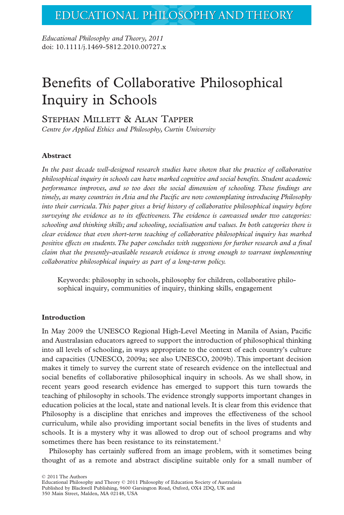# EDUCATIONAL PHILOSOPHY AND THEORY

*Educational Philosophy and Theory, 2011* doi: 10.1111/j.1469-5812.2010.00727.x

# Benefits of Collaborative Philosophical Inquiry in Schools

Stephan Millett & Alan Tapper

*Centre for Applied Ethics and Philosophy, Curtin University*

## **Abstract**

*In the past decade well-designed research studies have shown that the practice of collaborative philosophical inquiry in schools can have marked cognitive and social benefits. Student academic performance improves, and so too does the social dimension of schooling. These findings are timely, as many countries in Asia and the Pacific are now contemplating introducing Philosophy into their curricula.This paper gives a brief history of collaborative philosophical inquiry before surveying the evidence as to its effectiveness. The evidence is canvassed under two categories: schooling and thinking skills; and schooling, socialisation and values. In both categories there is clear evidence that even short-term teaching of collaborative philosophical inquiry has marked positive effects on students.The paper concludes with suggestions for further research and a final claim that the presently-available research evidence is strong enough to warrant implementing collaborative philosophical inquiry as part of a long-term policy.*

Keywords: philosophy in schools, philosophy for children, collaborative philosophical inquiry, communities of inquiry, thinking skills, engagement

### **Introduction**

In May 2009 the UNESCO Regional High-Level Meeting in Manila of Asian, Pacific and Australasian educators agreed to support the introduction of philosophical thinking into all levels of schooling, in ways appropriate to the context of each country's culture and capacities (UNESCO, 2009a; see also UNESCO, 2009b). This important decision makes it timely to survey the current state of research evidence on the intellectual and social benefits of collaborative philosophical inquiry in schools. As we shall show, in recent years good research evidence has emerged to support this turn towards the teaching of philosophy in schools. The evidence strongly supports important changes in education policies at the local, state and national levels. It is clear from this evidence that Philosophy is a discipline that enriches and improves the effectiveness of the school curriculum, while also providing important social benefits in the lives of students and schools. It is a mystery why it was allowed to drop out of school programs and why sometimes there has been resistance to its reinstatement.<sup>1</sup>

Philosophy has certainly suffered from an image problem, with it sometimes being thought of as a remote and abstract discipline suitable only for a small number of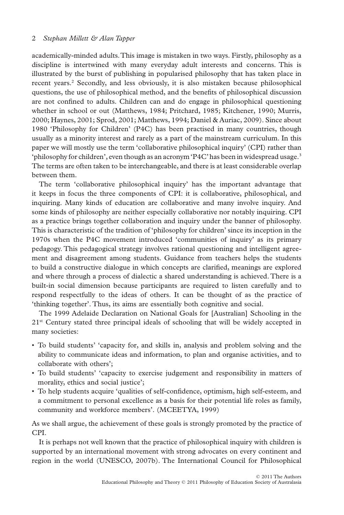academically-minded adults.This image is mistaken in two ways. Firstly, philosophy as a discipline is intertwined with many everyday adult interests and concerns. This is illustrated by the burst of publishing in popularised philosophy that has taken place in recent years.2 Secondly, and less obviously, it is also mistaken because philosophical questions, the use of philosophical method, and the benefits of philosophical discussion are not confined to adults. Children can and do engage in philosophical questioning whether in school or out (Matthews, 1984; Pritchard, 1985; Kitchener, 1990; Murris, 2000; Haynes, 2001; Sprod, 2001; Matthews, 1994; Daniel & Auriac, 2009). Since about 1980 'Philosophy for Children' (P4C) has been practised in many countries, though usually as a minority interest and rarely as a part of the mainstream curriculum. In this paper we will mostly use the term 'collaborative philosophical inquiry' (CPI) rather than 'philosophy for children', even though as an acronym'P4C' has been in widespread usage.3 The terms are often taken to be interchangeable, and there is at least considerable overlap between them.

The term 'collaborative philosophical inquiry' has the important advantage that it keeps in focus the three components of CPI: it is collaborative, philosophical, and inquiring. Many kinds of education are collaborative and many involve inquiry. And some kinds of philosophy are neither especially collaborative nor notably inquiring. CPI as a practice brings together collaboration and inquiry under the banner of philosophy. This is characteristic of the tradition of 'philosophy for children' since its inception in the 1970s when the P4C movement introduced 'communities of inquiry' as its primary pedagogy. This pedagogical strategy involves rational questioning and intelligent agreement and disagreement among students. Guidance from teachers helps the students to build a constructive dialogue in which concepts are clarified, meanings are explored and where through a process of dialectic a shared understanding is achieved. There is a built-in social dimension because participants are required to listen carefully and to respond respectfully to the ideas of others. It can be thought of as the practice of 'thinking together'. Thus, its aims are essentially both cognitive and social.

The 1999 Adelaide Declaration on National Goals for [Australian] Schooling in the 21<sup>st</sup> Century stated three principal ideals of schooling that will be widely accepted in many societies:

- To build students' 'capacity for, and skills in, analysis and problem solving and the ability to communicate ideas and information, to plan and organise activities, and to collaborate with others';
- To build students' 'capacity to exercise judgement and responsibility in matters of morality, ethics and social justice';
- To help students acquire 'qualities of self-confidence, optimism, high self-esteem, and a commitment to personal excellence as a basis for their potential life roles as family, community and workforce members'. (MCEETYA, 1999)

As we shall argue, the achievement of these goals is strongly promoted by the practice of CPI.

It is perhaps not well known that the practice of philosophical inquiry with children is supported by an international movement with strong advocates on every continent and region in the world (UNESCO, 2007b). The International Council for Philosophical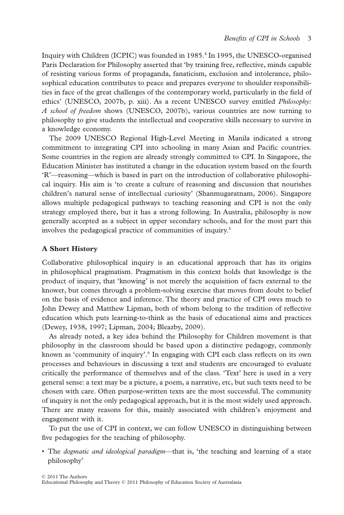Inquiry with Children (ICPIC) was founded in 1985.4 In 1995, the UNESCO-organised Paris Declaration for Philosophy asserted that 'by training free, reflective, minds capable of resisting various forms of propaganda, fanaticism, exclusion and intolerance, philosophical education contributes to peace and prepares everyone to shoulder responsibilities in face of the great challenges of the contemporary world, particularly in the field of ethics' (UNESCO, 2007b, p. xiii). As a recent UNESCO survey entitled *Philosophy: A school of freedom* shows (UNESCO, 2007b), various countries are now turning to philosophy to give students the intellectual and cooperative skills necessary to survive in a knowledge economy.

The 2009 UNESCO Regional High-Level Meeting in Manila indicated a strong commitment to integrating CPI into schooling in many Asian and Pacific countries. Some countries in the region are already strongly committed to CPI. In Singapore, the Education Minister has instituted a change in the education system based on the fourth 'R'—reasoning—which is based in part on the introduction of collaborative philosophical inquiry. His aim is 'to create a culture of reasoning and discussion that nourishes children's natural sense of intellectual curiosity' (Shanmugaratnam, 2006). Singapore allows multiple pedagogical pathways to teaching reasoning and CPI is not the only strategy employed there, but it has a strong following. In Australia, philosophy is now generally accepted as a subject in upper secondary schools, and for the most part this involves the pedagogical practice of communities of inquiry.5

#### **A Short History**

Collaborative philosophical inquiry is an educational approach that has its origins in philosophical pragmatism. Pragmatism in this context holds that knowledge is the product of inquiry, that 'knowing' is not merely the acquisition of facts external to the knower, but comes through a problem-solving exercise that moves from doubt to belief on the basis of evidence and inference. The theory and practice of CPI owes much to John Dewey and Matthew Lipman, both of whom belong to the tradition of reflective education which puts learning-to-think as the basis of educational aims and practices (Dewey, 1938, 1997; Lipman, 2004; Bleazby, 2009).

As already noted, a key idea behind the Philosophy for Children movement is that philosophy in the classroom should be based upon a distinctive pedagogy, commonly known as 'community of inquiry'.<sup>6</sup> In engaging with CPI each class reflects on its own processes and behaviours in discussing a text and students are encouraged to evaluate critically the performance of themselves and of the class. 'Text' here is used in a very general sense: a text may be a picture, a poem, a narrative, etc, but such texts need to be chosen with care. Often purpose-written texts are the most successful. The community of inquiry is not the only pedagogical approach, but it is the most widely used approach. There are many reasons for this, mainly associated with children's enjoyment and engagement with it.

To put the use of CPI in context, we can follow UNESCO in distinguishing between five pedagogies for the teaching of philosophy.

• The *dogmatic and ideological paradigm*—that is, 'the teaching and learning of a state philosophy'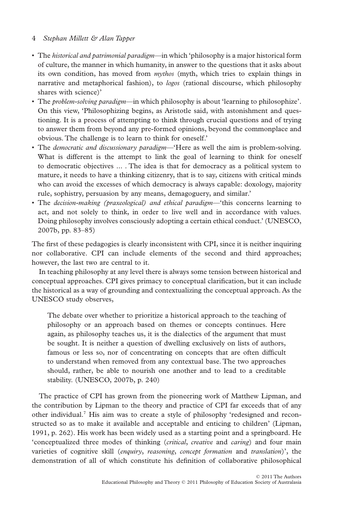- The *historical and patrimonial paradigm*—in which 'philosophy is a major historical form of culture, the manner in which humanity, in answer to the questions that it asks about its own condition, has moved from *mythos* (myth, which tries to explain things in narrative and metaphorical fashion), to *logos* (rational discourse, which philosophy shares with science)'
- The *problem-solving paradigm*—in which philosophy is about 'learning to philosophize'. On this view, 'Philosophizing begins, as Aristotle said, with astonishment and questioning. It is a process of attempting to think through crucial questions and of trying to answer them from beyond any pre-formed opinions, beyond the commonplace and obvious. The challenge is to learn to think for oneself.'
- The *democratic and discussionary paradigm*—'Here as well the aim is problem-solving. What is different is the attempt to link the goal of learning to think for oneself to democratic objectives ... . The idea is that for democracy as a political system to mature, it needs to have a thinking citizenry, that is to say, citizens with critical minds who can avoid the excesses of which democracy is always capable: doxology, majority rule, sophistry, persuasion by any means, demagoguery, and similar.'
- The *decision-making (praxeological) and ethical paradigm*—'this concerns learning to act, and not solely to think, in order to live well and in accordance with values. Doing philosophy involves consciously adopting a certain ethical conduct.' (UNESCO, 2007b, pp. 83–85)

The first of these pedagogies is clearly inconsistent with CPI, since it is neither inquiring nor collaborative. CPI can include elements of the second and third approaches; however, the last two are central to it.

In teaching philosophy at any level there is always some tension between historical and conceptual approaches. CPI gives primacy to conceptual clarification, but it can include the historical as a way of grounding and contextualizing the conceptual approach. As the UNESCO study observes,

The debate over whether to prioritize a historical approach to the teaching of philosophy or an approach based on themes or concepts continues. Here again, as philosophy teaches us, it is the dialectics of the argument that must be sought. It is neither a question of dwelling exclusively on lists of authors, famous or less so, nor of concentrating on concepts that are often difficult to understand when removed from any contextual base. The two approaches should, rather, be able to nourish one another and to lead to a creditable stability. (UNESCO, 2007b, p. 240)

The practice of CPI has grown from the pioneering work of Matthew Lipman, and the contribution by Lipman to the theory and practice of CPI far exceeds that of any other individual.7 His aim was to create a style of philosophy 'redesigned and reconstructed so as to make it available and acceptable and enticing to children' (Lipman, 1991, p. 262). His work has been widely used as a starting point and a springboard. He 'conceptualized three modes of thinking (*critical*, *creative* and *caring*) and four main varieties of cognitive skill (*enquiry*, *reasoning*, *concept formation* and *translation*)', the demonstration of all of which constitute his definition of collaborative philosophical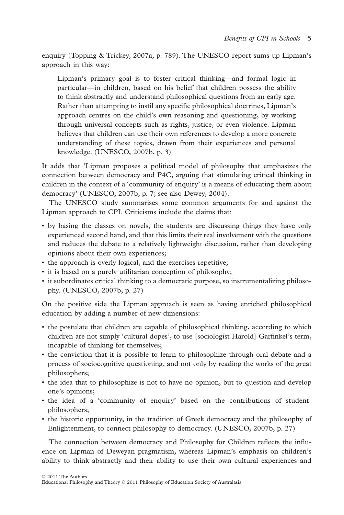enquiry (Topping & Trickey, 2007a, p. 789). The UNESCO report sums up Lipman's approach in this way:

Lipman's primary goal is to foster critical thinking—and formal logic in particular—in children, based on his belief that children possess the ability to think abstractly and understand philosophical questions from an early age. Rather than attempting to instil any specific philosophical doctrines, Lipman's approach centres on the child's own reasoning and questioning, by working through universal concepts such as rights, justice, or even violence. Lipman believes that children can use their own references to develop a more concrete understanding of these topics, drawn from their experiences and personal knowledge. (UNESCO, 2007b, p. 3)

It adds that 'Lipman proposes a political model of philosophy that emphasizes the connection between democracy and P4C, arguing that stimulating critical thinking in children in the context of a 'community of enquiry' is a means of educating them about democracy' (UNESCO, 2007b, p. 7; see also Dewey, 2004).

The UNESCO study summarises some common arguments for and against the Lipman approach to CPI. Criticisms include the claims that:

- by basing the classes on novels, the students are discussing things they have only experienced second hand, and that this limits their real involvement with the questions and reduces the debate to a relatively lightweight discussion, rather than developing opinions about their own experiences;
- the approach is overly logical, and the exercises repetitive;
- it is based on a purely utilitarian conception of philosophy;
- it subordinates critical thinking to a democratic purpose, so instrumentalizing philosophy. (UNESCO, 2007b, p. 27)

On the positive side the Lipman approach is seen as having enriched philosophical education by adding a number of new dimensions:

- the postulate that children are capable of philosophical thinking, according to which children are not simply 'cultural dopes', to use [sociologist Harold] Garfinkel's term, incapable of thinking for themselves;
- the conviction that it is possible to learn to philosophize through oral debate and a process of sociocognitive questioning, and not only by reading the works of the great philosophers;
- the idea that to philosophize is not to have no opinion, but to question and develop one's opinions;
- the idea of a 'community of enquiry' based on the contributions of studentphilosophers;
- the historic opportunity, in the tradition of Greek democracy and the philosophy of Enlightenment, to connect philosophy to democracy. (UNESCO, 2007b, p. 27)

The connection between democracy and Philosophy for Children reflects the influence on Lipman of Deweyan pragmatism, whereas Lipman's emphasis on children's ability to think abstractly and their ability to use their own cultural experiences and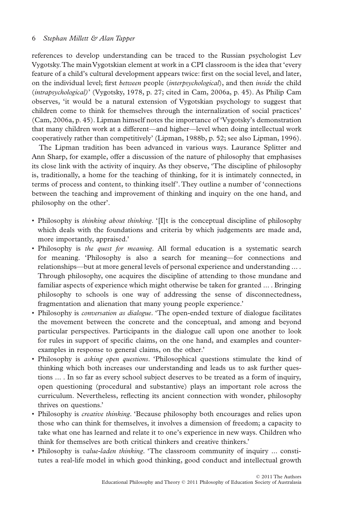references to develop understanding can be traced to the Russian psychologist Lev Vygotsky.The mainVygotskian element at work in a CPI classroom is the idea that 'every feature of a child's cultural development appears twice: first on the social level, and later, on the individual level; first *between* people (*interpsychological*), and then *inside* the child (*intrapsychological)*' (Vygotsky, 1978, p. 27; cited in Cam, 2006a, p. 45). As Philip Cam observes, 'it would be a natural extension of Vygotskian psychology to suggest that children come to think for themselves through the internalization of social practices' (Cam, 2006a, p. 45). Lipman himself notes the importance of 'Vygotsky's demonstration that many children work at a different—and higher—level when doing intellectual work cooperatively rather than competitively' (Lipman, 1988b, p. 52; see also Lipman, 1996).

The Lipman tradition has been advanced in various ways. Laurance Splitter and Ann Sharp, for example, offer a discussion of the nature of philosophy that emphasises its close link with the activity of inquiry. As they observe, 'The discipline of philosophy is, traditionally, a home for the teaching of thinking, for it is intimately connected, in terms of process and content, to thinking itself'. They outline a number of 'connections between the teaching and improvement of thinking and inquiry on the one hand, and philosophy on the other'.

- Philosophy is *thinking about thinking*. '[I]t is the conceptual discipline of philosophy which deals with the foundations and criteria by which judgements are made and, more importantly, appraised.'
- Philosophy is *the quest for meaning*. All formal education is a systematic search for meaning. 'Philosophy is also a search for meaning—for connections and relationships—but at more general levels of personal experience and understanding ... . Through philosophy, one acquires the discipline of attending to those mundane and familiar aspects of experience which might otherwise be taken for granted ... . Bringing philosophy to schools is one way of addressing the sense of disconnectedness, fragmentation and alienation that many young people experience.'
- Philosophy is *conversation as dialogue*. 'The open-ended texture of dialogue facilitates the movement between the concrete and the conceptual, and among and beyond particular perspectives. Participants in the dialogue call upon one another to look for rules in support of specific claims, on the one hand, and examples and counterexamples in response to general claims, on the other.'
- Philosophy is *asking open questions*. 'Philosophical questions stimulate the kind of thinking which both increases our understanding and leads us to ask further questions ... . In so far as every school subject deserves to be treated as a form of inquiry, open questioning (procedural and substantive) plays an important role across the curriculum. Nevertheless, reflecting its ancient connection with wonder, philosophy thrives on questions.'
- Philosophy is *creative thinking*. 'Because philosophy both encourages and relies upon those who can think for themselves, it involves a dimension of freedom; a capacity to take what one has learned and relate it to one's experience in new ways. Children who think for themselves are both critical thinkers and creative thinkers.'
- Philosophy is *value-laden thinking*. 'The classroom community of inquiry ... constitutes a real-life model in which good thinking, good conduct and intellectual growth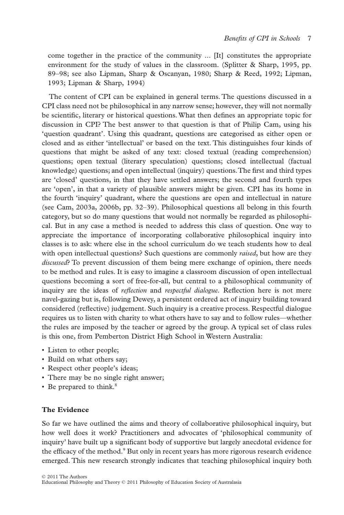come together in the practice of the community ... [It] constitutes the appropriate environment for the study of values in the classroom. (Splitter & Sharp, 1995, pp. 89–98; see also Lipman, Sharp & Oscanyan, 1980; Sharp & Reed, 1992; Lipman, 1993; Lipman & Sharp, 1994)

The content of CPI can be explained in general terms. The questions discussed in a CPI class need not be philosophical in any narrow sense; however, they will not normally be scientific, literary or historical questions.What then defines an appropriate topic for discussion in CPI? The best answer to that question is that of Philip Cam, using his 'question quadrant'. Using this quadrant, questions are categorised as either open or closed and as either 'intellectual' or based on the text. This distinguishes four kinds of questions that might be asked of any text: closed textual (reading comprehension) questions; open textual (literary speculation) questions; closed intellectual (factual knowledge) questions; and open intellectual (inquiry) questions.The first and third types are 'closed' questions, in that they have settled answers; the second and fourth types are 'open', in that a variety of plausible answers might be given. CPI has its home in the fourth 'inquiry' quadrant, where the questions are open and intellectual in nature (see Cam, 2003a, 2006b, pp. 32–39). Philosophical questions all belong in this fourth category, but so do many questions that would not normally be regarded as philosophical. But in any case a method is needed to address this class of question. One way to appreciate the importance of incorporating collaborative philosophical inquiry into classes is to ask: where else in the school curriculum do we teach students how to deal with open intellectual questions? Such questions are commonly *raised*, but how are they *discussed*? To prevent discussion of them being mere exchange of opinion, there needs to be method and rules. It is easy to imagine a classroom discussion of open intellectual questions becoming a sort of free-for-all, but central to a philosophical community of inquiry are the ideas of *reflection* and *respectful dialogue.* Reflection here is not mere navel-gazing but is, following Dewey, a persistent ordered act of inquiry building toward considered (reflective) judgement. Such inquiry is a creative process. Respectful dialogue requires us to listen with charity to what others have to say and to follow rules—whether the rules are imposed by the teacher or agreed by the group. A typical set of class rules is this one, from Pemberton District High School in Western Australia:

- Listen to other people;
- Build on what others say;
- Respect other people's ideas;
- There may be no single right answer;
- Be prepared to think.<sup>8</sup>

#### **The Evidence**

So far we have outlined the aims and theory of collaborative philosophical inquiry, but how well does it work? Practitioners and advocates of 'philosophical community of inquiry' have built up a significant body of supportive but largely anecdotal evidence for the efficacy of the method.<sup>9</sup> But only in recent years has more rigorous research evidence emerged. This new research strongly indicates that teaching philosophical inquiry both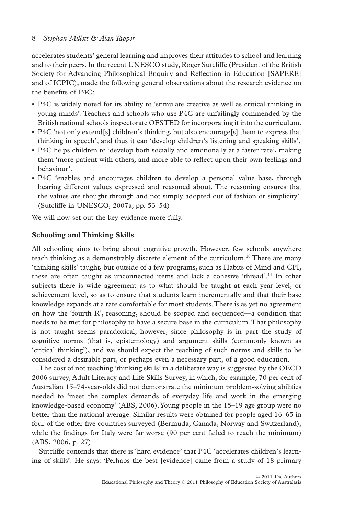accelerates students' general learning and improves their attitudes to school and learning and to their peers. In the recent UNESCO study, Roger Sutcliffe (President of the British Society for Advancing Philosophical Enquiry and Reflection in Education [SAPERE] and of ICPIC), made the following general observations about the research evidence on the benefits of P4C:

- P4C is widely noted for its ability to 'stimulate creative as well as critical thinking in young minds'. Teachers and schools who use P4C are unfailingly commended by the British national schools inspectorate OFSTED for incorporating it into the curriculum.
- P4C 'not only extend[s] children's thinking, but also encourage[s] them to express that thinking in speech', and thus it can 'develop children's listening and speaking skills'.
- P4C helps children to 'develop both socially and emotionally at a faster rate', making them 'more patient with others, and more able to reflect upon their own feelings and behaviour'.
- P4C 'enables and encourages children to develop a personal value base, through hearing different values expressed and reasoned about. The reasoning ensures that the values are thought through and not simply adopted out of fashion or simplicity'. (Sutcliffe in UNESCO, 2007a, pp. 53–54)

We will now set out the key evidence more fully.

#### **Schooling and Thinking Skills**

All schooling aims to bring about cognitive growth. However, few schools anywhere teach thinking as a demonstrably discrete element of the curriculum.<sup>10</sup> There are many 'thinking skills' taught, but outside of a few programs, such as Habits of Mind and CPI, these are often taught as unconnected items and lack a cohesive 'thread'.11 In other subjects there is wide agreement as to what should be taught at each year level, or achievement level, so as to ensure that students learn incrementally and that their base knowledge expands at a rate comfortable for most students.There is as yet no agreement on how the 'fourth R', reasoning, should be scoped and sequenced—a condition that needs to be met for philosophy to have a secure base in the curriculum.That philosophy is not taught seems paradoxical, however, since philosophy is in part the study of cognitive norms (that is, epistemology) and argument skills (commonly known as 'critical thinking'), and we should expect the teaching of such norms and skills to be considered a desirable part, or perhaps even a necessary part, of a good education.

The cost of not teaching 'thinking skills' in a deliberate way is suggested by the OECD 2006 survey, Adult Literacy and Life Skills Survey, in which, for example, 70 per cent of Australian 15–74-year-olds did not demonstrate the minimum problem-solving abilities needed to 'meet the complex demands of everyday life and work in the emerging knowledge-based economy' (ABS, 2006).Young people in the 15–19 age group were no better than the national average. Similar results were obtained for people aged 16–65 in four of the other five countries surveyed (Bermuda, Canada, Norway and Switzerland), while the findings for Italy were far worse (90 per cent failed to reach the minimum) (ABS, 2006, p. 27).

Sutcliffe contends that there is 'hard evidence' that P4C 'accelerates children's learning of skills'. He says: 'Perhaps the best [evidence] came from a study of 18 primary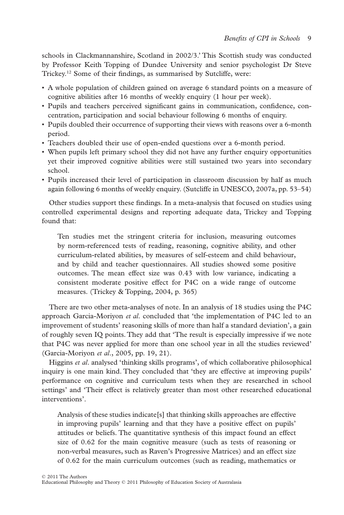schools in Clackmannanshire, Scotland in 2002/3.' This Scottish study was conducted by Professor Keith Topping of Dundee University and senior psychologist Dr Steve Trickey.12 Some of their findings, as summarised by Sutcliffe, were:

- A whole population of children gained on average 6 standard points on a measure of cognitive abilities after 16 months of weekly enquiry (1 hour per week).
- Pupils and teachers perceived significant gains in communication, confidence, concentration, participation and social behaviour following 6 months of enquiry.
- Pupils doubled their occurrence of supporting their views with reasons over a 6-month period.
- Teachers doubled their use of open-ended questions over a 6-month period.
- When pupils left primary school they did not have any further enquiry opportunities yet their improved cognitive abilities were still sustained two years into secondary school.
- Pupils increased their level of participation in classroom discussion by half as much again following 6 months of weekly enquiry. (Sutcliffe in UNESCO, 2007a, pp. 53–54)

Other studies support these findings. In a meta-analysis that focused on studies using controlled experimental designs and reporting adequate data, Trickey and Topping found that:

Ten studies met the stringent criteria for inclusion, measuring outcomes by norm-referenced tests of reading, reasoning, cognitive ability, and other curriculum-related abilities, by measures of self-esteem and child behaviour, and by child and teacher questionnaires. All studies showed some positive outcomes. The mean effect size was 0.43 with low variance, indicating a consistent moderate positive effect for P4C on a wide range of outcome measures. (Trickey & Topping, 2004, p. 365)

There are two other meta-analyses of note. In an analysis of 18 studies using the P4C approach Garcia-Moriyon *et al*. concluded that 'the implementation of P4C led to an improvement of students' reasoning skills of more than half a standard deviation', a gain of roughly seven IQ points. They add that 'The result is especially impressive if we note that P4C was never applied for more than one school year in all the studies reviewed' (Garcia-Moriyon *et al*., 2005, pp. 19, 21).

Higgins *et al*. analysed 'thinking skills programs', of which collaborative philosophical inquiry is one main kind. They concluded that 'they are effective at improving pupils' performance on cognitive and curriculum tests when they are researched in school settings' and 'Their effect is relatively greater than most other researched educational interventions'.

Analysis of these studies indicate[s] that thinking skills approaches are effective in improving pupils' learning and that they have a positive effect on pupils' attitudes or beliefs. The quantitative synthesis of this impact found an effect size of 0.62 for the main cognitive measure (such as tests of reasoning or non-verbal measures, such as Raven's Progressive Matrices) and an effect size of 0.62 for the main curriculum outcomes (such as reading, mathematics or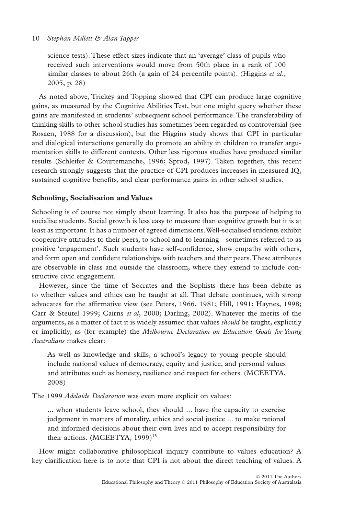science tests). These effect sizes indicate that an 'average' class of pupils who received such interventions would move from 50th place in a rank of 100 similar classes to about 26th (a gain of 24 percentile points). (Higgins *et al*., 2005, p. 28)

As noted above, Trickey and Topping showed that CPI can produce large cognitive gains, as measured by the Cognitive Abilities Test, but one might query whether these gains are manifested in students' subsequent school performance. The transferability of thinking skills to other school studies has sometimes been regarded as controversial (see Rosaen, 1988 for a discussion), but the Higgins study shows that CPI in particular and dialogical interactions generally do promote an ability in children to transfer argumentation skills to different contexts. Other less rigorous studies have produced similar results (Schleifer & Courtemanche, 1996; Sprod, 1997). Taken together, this recent research strongly suggests that the practice of CPI produces increases in measured IQ, sustained cognitive benefits, and clear performance gains in other school studies.

#### **Schooling, Socialisation and Values**

Schooling is of course not simply about learning. It also has the purpose of helping to socialise students. Social growth is less easy to measure than cognitive growth but it is at least as important. It has a number of agreed dimensions.Well-socialised students exhibit cooperative attitudes to their peers, to school and to learning—sometimes referred to as positive 'engagement'. Such students have self-confidence, show empathy with others, and form open and confident relationships with teachers and their peers.These attributes are observable in class and outside the classroom, where they extend to include constructive civic engagement.

However, since the time of Socrates and the Sophists there has been debate as to whether values and ethics can be taught at all. That debate continues, with strong advocates for the affirmative view (see Peters, 1966, 1981; Hill, 1991; Haynes, 1998; Carr & Steutel 1999; Cairns *et al*, 2000; Darling, 2002). Whatever the merits of the arguments, as a matter of fact it is widely assumed that values *should* be taught, explicitly or implicitly, as (for example) the *Melbourne Declaration on Education Goals for Young Australians* makes clear:

As well as knowledge and skills, a school's legacy to young people should include national values of democracy, equity and justice, and personal values and attributes such as honesty, resilience and respect for others. (MCEETYA, 2008)

The 1999 *Adelaide Declaration* was even more explicit on values:

... when students leave school, they should ... have the capacity to exercise judgement in matters of morality, ethics and social justice ... to make rational and informed decisions about their own lives and to accept responsibility for their actions. (MCEETYA, 1999)<sup>13</sup>

How might collaborative philosophical inquiry contribute to values education? A key clarification here is to note that CPI is not about the direct teaching of values. A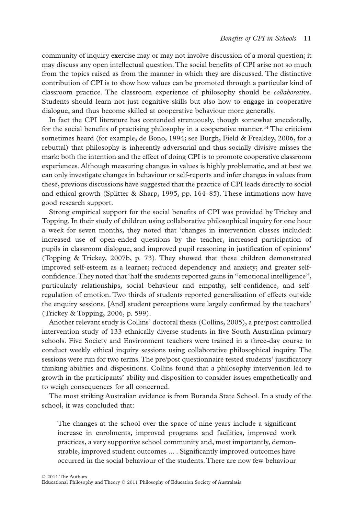community of inquiry exercise may or may not involve discussion of a moral question; it may discuss any open intellectual question.The social benefits of CPI arise not so much from the topics raised as from the manner in which they are discussed. The distinctive contribution of CPI is to show how values can be promoted through a particular kind of classroom practice. The classroom experience of philosophy should be *collaborative*. Students should learn not just cognitive skills but also how to engage in cooperative dialogue, and thus become skilled at cooperative behaviour more generally.

In fact the CPI literature has contended strenuously, though somewhat anecdotally, for the social benefits of practising philosophy in a cooperative manner.<sup>14</sup> The criticism sometimes heard (for example, de Bono, 1994; see Burgh, Field & Freakley, 2006, for a rebuttal) that philosophy is inherently adversarial and thus socially divisive misses the mark: both the intention and the effect of doing CPI is to promote cooperative classroom experiences. Although measuring changes in values is highly problematic, and at best we can only investigate changes in behaviour or self-reports and infer changes in values from these, previous discussions have suggested that the practice of CPI leads directly to social and ethical growth (Splitter & Sharp, 1995, pp. 164–85). These intimations now have good research support.

Strong empirical support for the social benefits of CPI was provided by Trickey and Topping. In their study of children using collaborative philosophical inquiry for one hour a week for seven months, they noted that 'changes in intervention classes included: increased use of open-ended questions by the teacher, increased participation of pupils in classroom dialogue, and improved pupil reasoning in justification of opinions' (Topping & Trickey, 2007b, p. 73). They showed that these children demonstrated improved self-esteem as a learner; reduced dependency and anxiety; and greater selfconfidence.They noted that 'half the students reported gains in "emotional intelligence", particularly relationships, social behaviour and empathy, self-confidence, and selfregulation of emotion. Two thirds of students reported generalization of effects outside the enquiry sessions. [And] student perceptions were largely confirmed by the teachers' (Trickey & Topping, 2006, p. 599).

Another relevant study is Collins' doctoral thesis (Collins, 2005), a pre/post controlled intervention study of 133 ethnically diverse students in five South Australian primary schools. Five Society and Environment teachers were trained in a three-day course to conduct weekly ethical inquiry sessions using collaborative philosophical inquiry. The sessions were run for two terms.The pre/post questionnaire tested students' justificatory thinking abilities and dispositions. Collins found that a philosophy intervention led to growth in the participants' ability and disposition to consider issues empathetically and to weigh consequences for all concerned.

The most striking Australian evidence is from Buranda State School. In a study of the school, it was concluded that:

The changes at the school over the space of nine years include a significant increase in enrolments, improved programs and facilities, improved work practices, a very supportive school community and, most importantly, demonstrable, improved student outcomes ... . Significantly improved outcomes have occurred in the social behaviour of the students.There are now few behaviour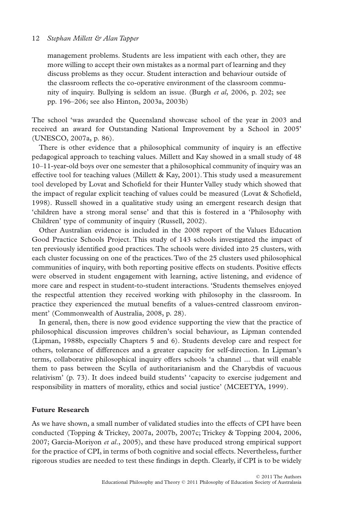management problems. Students are less impatient with each other, they are more willing to accept their own mistakes as a normal part of learning and they discuss problems as they occur. Student interaction and behaviour outside of the classroom reflects the co-operative environment of the classroom community of inquiry. Bullying is seldom an issue. (Burgh *et al*, 2006, p. 202; see pp. 196–206; see also Hinton, 2003a, 2003b)

The school 'was awarded the Queensland showcase school of the year in 2003 and received an award for Outstanding National Improvement by a School in 2005' (UNESCO, 2007a, p. 86).

There is other evidence that a philosophical community of inquiry is an effective pedagogical approach to teaching values. Millett and Kay showed in a small study of 48 10–11-year-old boys over one semester that a philosophical community of inquiry was an effective tool for teaching values (Millett  $\&$  Kay, 2001). This study used a measurement tool developed by Lovat and Schofield for their Hunter Valley study which showed that the impact of regular explicit teaching of values could be measured (Lovat  $\&$  Schofield, 1998). Russell showed in a qualitative study using an emergent research design that 'children have a strong moral sense' and that this is fostered in a 'Philosophy with Children' type of community of inquiry (Russell, 2002).

Other Australian evidence is included in the 2008 report of the Values Education Good Practice Schools Project. This study of 143 schools investigated the impact of ten previously identified good practices. The schools were divided into 25 clusters, with each cluster focussing on one of the practices. Two of the 25 clusters used philosophical communities of inquiry, with both reporting positive effects on students. Positive effects were observed in student engagement with learning, active listening, and evidence of more care and respect in student-to-student interactions. 'Students themselves enjoyed the respectful attention they received working with philosophy in the classroom. In practice they experienced the mutual benefits of a values-centred classroom environment' (Commonwealth of Australia, 2008, p. 28).

In general, then, there is now good evidence supporting the view that the practice of philosophical discussion improves children's social behaviour, as Lipman contended (Lipman, 1988b, especially Chapters 5 and 6). Students develop care and respect for others, tolerance of differences and a greater capacity for self-direction. In Lipman's terms, collaborative philosophical inquiry offers schools 'a channel ... that will enable them to pass between the Scylla of authoritarianism and the Charybdis of vacuous relativism' (p. 73). It does indeed build students' 'capacity to exercise judgement and responsibility in matters of morality, ethics and social justice' (MCEETYA, 1999).

#### **Future Research**

As we have shown, a small number of validated studies into the effects of CPI have been conducted (Topping & Trickey, 2007a, 2007b, 2007c; Trickey & Topping 2004, 2006, 2007; Garcia-Moriyon *et al*., 2005), and these have produced strong empirical support for the practice of CPI, in terms of both cognitive and social effects. Nevertheless, further rigorous studies are needed to test these findings in depth. Clearly, if CPI is to be widely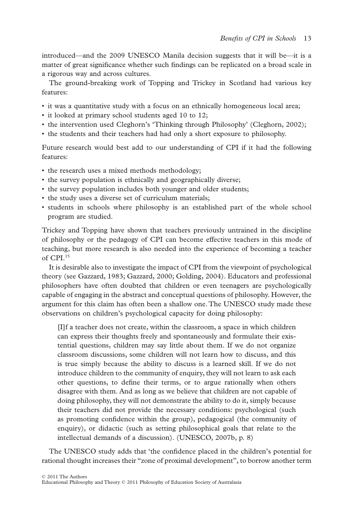introduced—and the 2009 UNESCO Manila decision suggests that it will be—it is a matter of great significance whether such findings can be replicated on a broad scale in a rigorous way and across cultures.

The ground-breaking work of Topping and Trickey in Scotland had various key features:

- it was a quantitative study with a focus on an ethnically homogeneous local area;
- it looked at primary school students aged 10 to 12;
- the intervention used Cleghorn's 'Thinking through Philosophy' (Cleghorn, 2002);
- the students and their teachers had had only a short exposure to philosophy.

Future research would best add to our understanding of CPI if it had the following features:

- the research uses a mixed methods methodology;
- the survey population is ethnically and geographically diverse;
- the survey population includes both younger and older students;
- the study uses a diverse set of curriculum materials;
- students in schools where philosophy is an established part of the whole school program are studied.

Trickey and Topping have shown that teachers previously untrained in the discipline of philosophy or the pedagogy of CPI can become effective teachers in this mode of teaching, but more research is also needed into the experience of becoming a teacher of CPI $15$ 

It is desirable also to investigate the impact of CPI from the viewpoint of psychological theory (see Gazzard, 1983; Gazzard, 2000; Golding, 2004). Educators and professional philosophers have often doubted that children or even teenagers are psychologically capable of engaging in the abstract and conceptual questions of philosophy. However, the argument for this claim has often been a shallow one. The UNESCO study made these observations on children's psychological capacity for doing philosophy:

[I]f a teacher does not create, within the classroom, a space in which children can express their thoughts freely and spontaneously and formulate their existential questions, children may say little about them. If we do not organize classroom discussions, some children will not learn how to discuss, and this is true simply because the ability to discuss is a learned skill. If we do not introduce children to the community of enquiry, they will not learn to ask each other questions, to define their terms, or to argue rationally when others disagree with them. And as long as we believe that children are not capable of doing philosophy, they will not demonstrate the ability to do it, simply because their teachers did not provide the necessary conditions: psychological (such as promoting confidence within the group), pedagogical (the community of enquiry), or didactic (such as setting philosophical goals that relate to the intellectual demands of a discussion). (UNESCO, 2007b, p. 8)

The UNESCO study adds that 'the confidence placed in the children's potential for rational thought increases their "zone of proximal development", to borrow another term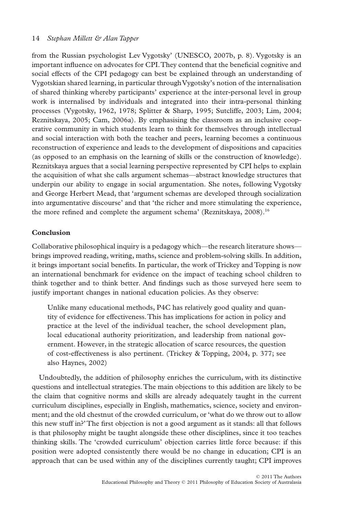from the Russian psychologist Lev Vygotsky' (UNESCO, 2007b, p. 8). Vygotsky is an important influence on advocates for CPI.They contend that the beneficial cognitive and social effects of the CPI pedagogy can best be explained through an understanding of Vygotskian shared learning, in particular throughVygotsky's notion of the internalisation of shared thinking whereby participants' experience at the inter-personal level in group work is internalised by individuals and integrated into their intra-personal thinking processes (Vygotsky, 1962, 1978; Splitter & Sharp, 1995; Sutcliffe, 2003; Lim, 2004; Reznitskaya, 2005; Cam, 2006a). By emphasising the classroom as an inclusive cooperative community in which students learn to think for themselves through intellectual and social interaction with both the teacher and peers, learning becomes a continuous reconstruction of experience and leads to the development of dispositions and capacities (as opposed to an emphasis on the learning of skills or the construction of knowledge). Reznitskaya argues that a social learning perspective represented by CPI helps to explain the acquisition of what she calls argument schemas—abstract knowledge structures that underpin our ability to engage in social argumentation. She notes, following Vygotsky and George Herbert Mead, that 'argument schemas are developed through socialization into argumentative discourse' and that 'the richer and more stimulating the experience, the more refined and complete the argument schema' (Reznitskaya, 2008).<sup>16</sup>

#### **Conclusion**

Collaborative philosophical inquiry is a pedagogy which—the research literature shows brings improved reading, writing, maths, science and problem-solving skills. In addition, it brings important social benefits. In particular, the work of Trickey and Topping is now an international benchmark for evidence on the impact of teaching school children to think together and to think better. And findings such as those surveyed here seem to justify important changes in national education policies. As they observe:

Unlike many educational methods, P4C has relatively good quality and quantity of evidence for effectiveness.This has implications for action in policy and practice at the level of the individual teacher, the school development plan, local educational authority prioritization, and leadership from national government. However, in the strategic allocation of scarce resources, the question of cost-effectiveness is also pertinent. (Trickey & Topping, 2004, p. 377; see also Haynes, 2002)

Undoubtedly, the addition of philosophy enriches the curriculum, with its distinctive questions and intellectual strategies.The main objections to this addition are likely to be the claim that cognitive norms and skills are already adequately taught in the current curriculum disciplines, especially in English, mathematics, science, society and environment; and the old chestnut of the crowded curriculum, or 'what do we throw out to allow this new stuff in?'The first objection is not a good argument as it stands: all that follows is that philosophy might be taught alongside these other disciplines, since it too teaches thinking skills. The 'crowded curriculum' objection carries little force because: if this position were adopted consistently there would be no change in education; CPI is an approach that can be used within any of the disciplines currently taught; CPI improves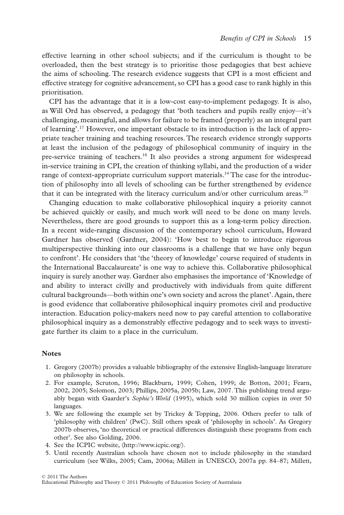effective learning in other school subjects; and if the curriculum is thought to be overloaded, then the best strategy is to prioritise those pedagogies that best achieve the aims of schooling. The research evidence suggests that CPI is a most efficient and effective strategy for cognitive advancement, so CPI has a good case to rank highly in this prioritisation.

CPI has the advantage that it is a low-cost easy-to-implement pedagogy. It is also, as Will Ord has observed, a pedagogy that 'both teachers and pupils really enjoy—it's challenging, meaningful, and allows for failure to be framed (properly) as an integral part of learning'.17 However, one important obstacle to its introduction is the lack of appropriate teacher training and teaching resources. The research evidence strongly supports at least the inclusion of the pedagogy of philosophical community of inquiry in the pre-service training of teachers.18 It also provides a strong argument for widespread in-service training in CPI, the creation of thinking syllabi, and the production of a wider range of context-appropriate curriculum support materials.<sup>19</sup> The case for the introduction of philosophy into all levels of schooling can be further strengthened by evidence that it can be integrated with the literacy curriculum and/or other curriculum areas.<sup>20</sup>

Changing education to make collaborative philosophical inquiry a priority cannot be achieved quickly or easily, and much work will need to be done on many levels. Nevertheless, there are good grounds to support this as a long-term policy direction. In a recent wide-ranging discussion of the contemporary school curriculum, Howard Gardner has observed (Gardner, 2004): 'How best to begin to introduce rigorous multiperspective thinking into our classrooms is a challenge that we have only begun to confront'. He considers that 'the 'theory of knowledge' course required of students in the International Baccalaureate' is one way to achieve this. Collaborative philosophical inquiry is surely another way. Gardner also emphasises the importance of 'Knowledge of and ability to interact civilly and productively with individuals from quite different cultural backgrounds—both within one's own society and across the planet'. Again, there is good evidence that collaborative philosophical inquiry promotes civil and productive interaction. Education policy-makers need now to pay careful attention to collaborative philosophical inquiry as a demonstrably effective pedagogy and to seek ways to investigate further its claim to a place in the curriculum.

#### **Notes**

- 1. Gregory (2007b) provides a valuable bibliography of the extensive English-language literature on philosophy in schools.
- 2. For example, Scruton, 1996; Blackburn, 1999; Cohen, 1999; de Botton, 2001; Fearn, 2002, 2005; Solomon, 2003; Phillips, 2005a, 2005b; Law, 2007. This publishing trend arguably began with Gaarder's *Sophie's World* (1995), which sold 30 million copies in over 50 languages.
- 3. We are following the example set by Trickey & Topping, 2006. Others prefer to talk of 'philosophy with children' (PwC). Still others speak of 'philosophy in schools'. As Gregory 2007b observes, 'no theoretical or practical differences distinguish these programs from each other'. See also Golding, 2006.
- 4. See the ICPIC website, 〈http://www.icpic.org/〉.
- 5. Until recently Australian schools have chosen not to include philosophy in the standard curriculum (see Wilks, 2005; Cam, 2006a; Millett in UNESCO, 2007a pp. 84–87; Millett,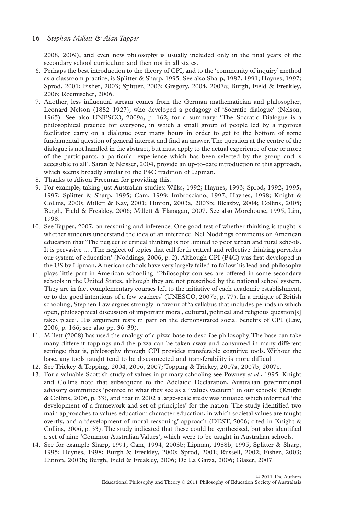2008, 2009), and even now philosophy is usually included only in the final years of the secondary school curriculum and then not in all states.

- 6. Perhaps the best introduction to the theory of CPI, and to the 'community of inquiry' method as a classroom practice, is Splitter & Sharp, 1995. See also Sharp, 1987, 1991; Haynes, 1997; Sprod, 2001; Fisher, 2003; Splitter, 2003; Gregory, 2004, 2007a; Burgh, Field & Freakley, 2006; Roemischer, 2006.
- 7. Another, less influential stream comes from the German mathematician and philosopher, Leonard Nelson (1882–1927), who developed a pedagogy of 'Socratic dialogue' (Nelson, 1965). See also UNESCO, 2009a, p. 162, for a summary: 'The Socratic Dialogue is a philosophical practice for everyone, in which a small group of people led by a rigorous facilitator carry on a dialogue over many hours in order to get to the bottom of some fundamental question of general interest and find an answer.The question at the centre of the dialogue is not handled in the abstract, but must apply to the actual experience of one or more of the participants, a particular experience which has been selected by the group and is accessible to all'. Saran & Neisser, 2004, provide an up-to-date introduction to this approach, which seems broadly similar to the P4C tradition of Lipman.
- 8. Thanks to Alison Freeman for providing this.
- 9. For example, taking just Australian studies: Wilks, 1992; Haynes, 1993; Sprod, 1992, 1995, 1997; Splitter & Sharp, 1995; Cam, 1999; Imbrosciano, 1997; Haynes, 1998; Knight & Collins, 2000; Millett & Kay, 2001; Hinton, 2003a, 2003b; Bleazby, 2004; Collins, 2005; Burgh, Field & Freakley, 2006; Millett & Flanagan, 2007. See also Morehouse, 1995; Lim, 1998.
- 10. See Tapper, 2007, on reasoning and inference. One good test of whether thinking is taught is whether students understand the idea of an inference. Nel Noddings comments on American education that 'The neglect of critical thinking is not limited to poor urban and rural schools. It is pervasive ... .The neglect of topics that call forth critical and reflective thinking pervades our system of education' (Noddings, 2006, p. 2). Although CPI (P4C) was first developed in the US by Lipman, American schools have very largely failed to follow his lead and philosophy plays little part in American schooling. 'Philosophy courses are offered in some secondary schools in the United States, although they are not prescribed by the national school system. They are in fact complementary courses left to the initiative of each academic establishment, or to the good intentions of a few teachers' (UNESCO, 2007b, p. 77). In a critique of British schooling, Stephen Law argues strongly in favour of 'a syllabus that includes periods in which open, philosophical discussion of important moral, cultural, political and religious question[s] takes place'. His argument rests in part on the demonstrated social benefits of CPI (Law, 2006, p. 166; see also pp. 36–39).
- 11. Millett (2008) has used the analogy of a pizza base to describe philosophy. The base can take many different toppings and the pizza can be taken away and consumed in many different settings: that is, philosophy through CPI provides transferable cognitive tools. Without the base, any tools taught tend to be disconnected and transferability is more difficult.
- 12. See Trickey & Topping*,* 2004, 2006, 2007*;* Topping & Trickey, 2007a, 2007b, 2007c.
- 13. For a valuable Scottish study of values in primary schooling see Powney *et al*., 1995. Knight and Collins note that subsequent to the Adelaide Declaration, Australian governmental advisory committees 'pointed to what they see as a "values vacuum" in our schools' (Knight & Collins, 2006, p. 33), and that in 2002 a large-scale study was initiated which informed 'the development of a framework and set of principles' for the nation. The study identified two main approaches to values education: character education, in which societal values are taught overtly, and a 'development of moral reasoning' approach (DEST, 2006; cited in Knight & Collins, 2006, p. 33). The study indicated that these could be synthesised, but also identified a set of nine 'Common Australian Values', which were to be taught in Australian schools.
- 14. See for example Sharp, 1991; Cam, 1994, 2003b; Lipman, 1988b, 1995; Splitter & Sharp, 1995; Haynes, 1998; Burgh & Freakley, 2000; Sprod, 2001; Russell, 2002; Fisher, 2003; Hinton, 2003b; Burgh, Field & Freakley, 2006; De La Garza, 2006; Glaser, 2007.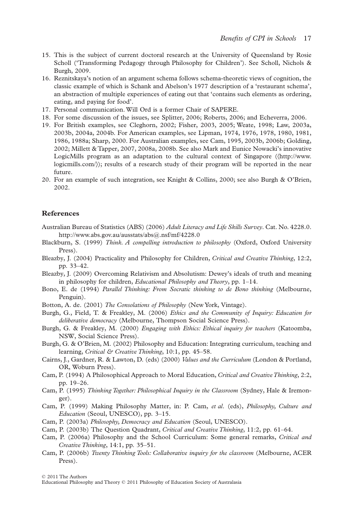- 15. This is the subject of current doctoral research at the University of Queensland by Rosie Scholl ('Transforming Pedagogy through Philosophy for Children'). See Scholl, Nichols & Burgh, 2009.
- 16. Reznitskaya's notion of an argument schema follows schema-theoretic views of cognition, the classic example of which is Schank and Abelson's 1977 description of a 'restaurant schema', an abstraction of multiple experiences of eating out that 'contains such elements as ordering, eating, and paying for food'.
- 17. Personal communication. Will Ord is a former Chair of SAPERE.
- 18. For some discussion of the issues, see Splitter, 2006; Roberts, 2006; and Echeverra, 2006.
- 19. For British examples, see Cleghorn, 2002; Fisher, 2003, 2005; Weate, 1998; Law, 2003a, 2003b, 2004a, 2004b. For American examples, see Lipman, 1974, 1976, 1978, 1980, 1981, 1986, 1988a; Sharp, 2000. For Australian examples, see Cam, 1995, 2003b, 2006b; Golding, 2002; Millett & Tapper, 2007, 2008a, 2008b. See also Mark and Eunice Nowacki's innovative LogicMills program as an adaptation to the cultural context of Singapore (〈http://www. logicmills.com/); results of a research study of their program will be reported in the near future.
- 20. For an example of such integration, see Knight & Collins, 2000; see also Burgh & O'Brien, 2002.

#### **References**

- Australian Bureau of Statistics (ABS) (2006) *Adult Literacy and Life Skills Survey*. Cat. No. 4228.0. http://www.abs.gov.au/ausstats/abs@.nsf/mf/4228.0
- Blackburn, S. (1999) *Think. A compelling introduction to philosophy* (Oxford, Oxford University Press).
- Bleazby, J. (2004) Practicality and Philosophy for Children, *Critical and Creative Thinking*, 12:2, pp. 33–42.
- Bleazby, J. (2009) Overcoming Relativism and Absolutism: Dewey's ideals of truth and meaning in philosophy for children, *Educational Philosophy and Theory*, pp. 1–14.
- Bono, E. de (1994) *Parallel Thinking: From Socratic thinking to de Bono thinking* (Melbourne, Penguin).
- Botton, A. de. (2001) *The Consolations of Philosophy* (New York, Vintage).
- Burgh, G., Field, T. & Freakley, M. (2006) *Ethics and the Community of Inquiry: Education for deliberative democracy* (Melbourne, Thompson Social Science Press).
- Burgh, G. & Freakley, M. (2000) *Engaging with Ethics: Ethical inquiry for teachers* (Katoomba, NSW, Social Science Press).
- Burgh, G. & O'Brien, M. (2002) Philosophy and Education: Integrating curriculum, teaching and learning, *Critical & Creative Thinking*, 10:1, pp. 45–58.
- Cairns, J., Gardner, R. & Lawton, D. (eds) (2000) *Values and the Curriculum* (London & Portland, OR, Woburn Press).
- Cam, P. (1994) A Philosophical Approach to Moral Education, *Critical and Creative Thinking*, 2:2, pp. 19–26.
- Cam, P. (1995) *Thinking Together: Philosophical Inquiry in the Classroom* (Sydney, Hale & Iremonger).
- Cam, P. (1999) Making Philosophy Matter, in: P. Cam, *et al*. (eds), *Philosophy, Culture and Education* (Seoul, UNESCO), pp. 3–15.
- Cam, P. (2003a) *Philosophy, Democracy and Education* (Seoul, UNESCO).
- Cam, P. (2003b) The Question Quadrant, *Critical and Creative Thinking*, 11:2, pp. 61–64.
- Cam, P. (2006a) Philosophy and the School Curriculum: Some general remarks, *Critical and Creative Thinking*, 14:1, pp. 35–51.
- Cam, P. (2006b) *Twenty Thinking Tools: Collaborative inquiry for the classroom* (Melbourne, ACER Press).

© 2011 The Authors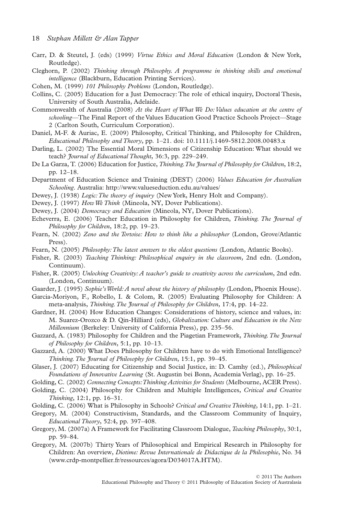- Carr, D. & Steutel, J. (eds) (1999) *Virtue Ethics and Moral Education* (London & New York, Routledge).
- Cleghorn, P. (2002) *Thinking through Philosophy. A programme in thinking skills and emotional intelligence* (Blackburn, Education Printing Services).
- Cohen, M. (1999) *101 Philosophy Problems* (London, Routledge).
- Collins, C. (2005) Education for a Just Democracy: The role of ethical inquiry, Doctoral Thesis, University of South Australia, Adelaide.
- Commonwealth of Australia (2008) At the Heart of What We Do: Values education at the centre of *schooling—*The Final Report of the Values Education Good Practice Schools Project—Stage 2 (Carlton South, Curriculum Corporation).
- Daniel, M-F. & Auriac, E. (2009) Philosophy, Critical Thinking, and Philosophy for Children, *Educational Philosophy and Theory*, pp. 1–21. doi: 10.1111/j.1469-5812.2008.00483.x
- Darling, L. (2002) The Essential Moral Dimensions of Citizenship Education: What should we teach? *Journal of Educational Thought*, 36:3, pp. 229–249.
- De La Garza, T. (2006) Education for Justice, *Thinking.The Journal of Philosophy for Children*, 18:2, pp. 12–18.
- Department of Education Science and Training (DEST) (2006) *Values Education for Australian Schooling*. Australia: http://www.valueseduction.edu.au/values/
- Dewey, J. (1938) *Logic:The theory of inquiry* (New York, Henry Holt and Company).
- Dewey, J. (1997) *HowWe Think* (Mineola, NY, Dover Publications).
- Dewey, J. (2004) *Democracy and Education* (Mineola, NY, Dover Publications).
- Echeverra, E. (2006) Teacher Education in Philosophy for Children, *Thinking. The Journal of Philosophy for Children*, 18:2, pp. 19–23.
- Fearn, N. (2002) *Zeno and the Tortoise: How to think like a philosopher* (London, Grove/Atlantic Press).
- Fearn, N. (2005) *Philosophy:The latest answers to the oldest questions* (London, Atlantic Books).
- Fisher, R. (2003) *Teaching Thinking: Philosophical enquiry in the classroom*, 2nd edn. (London, Continuum).
- Fisher, R. (2005) *Unlocking Creativity: A teacher's guide to creativity across the curriculum*, 2nd edn. (London, Continuum).
- Gaarder, J. (1995) *Sophie'sWorld: A novel about the history of philosophy* (London, Phoenix House).
- Garcia-Moriyon, F., Robello, I. & Colom, R. (2005) Evaluating Philosophy for Children: A meta-analysis, *Thinking.The Journal of Philosophy for Children*, 17:4, pp. 14–22.
- Gardner, H. (2004) How Education Changes: Considerations of history, science and values, in: M. Suarez-Orozco & D. Qin-Hilliard (eds), *Globalization: Culture and Education in the New Millennium* (Berkeley: University of California Press), pp. 235–56.
- Gazzard, A. (1983) Philosophy for Children and the Piagetian Framework, *Thinking.The Journal of Philosophy for Children*, 5:1, pp. 10–13.
- Gazzard, A. (2000) What Does Philosophy for Children have to do with Emotional Intelligence? *Thinking.The Journal of Philosophy for Children*, 15:1, pp. 39–45.
- Glaser, J. (2007) Educating for Citizenship and Social Justice, in: D. Camhy (ed.), *Philosophical Foundations of Innovative Learning* (St. Augustin bei Bonn, Academia Verlag), pp. 16–25.
- Golding, C. (2002) *Connecting Concepts:Thinking Activities for Students* (Melbourne, ACER Press).
- Golding, C. (2004) Philosophy for Children and Multiple Intelligences, *Critical and Creative Thinking*, 12:1, pp. 16–31.
- Golding, C. (2006) What is Philosophy in Schools? *Critical and Creative Thinking*, 14:1, pp. 1–21.
- Gregory, M. (2004) Constructivism, Standards, and the Classroom Community of Inquiry, *Educational Theory*, 52:4, pp. 397–408.
- Gregory, M. (2007a) A Framework for Facilitating Classroom Dialogue, *Teaching Philosophy*, 30:1, pp. 59–84.
- Gregory, M. (2007b) Thirty Years of Philosophical and Empirical Research in Philosophy for Children: An overview, *Diotime: Revue Internationale de Didactique de la Philosophie*, No. 34 (www.crdp-montpellier.fr/ressources/agora/D034017A.HTM).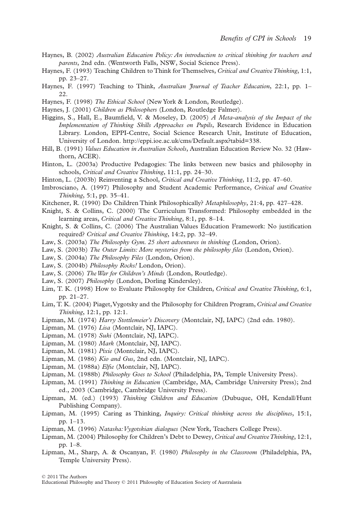- Haynes, B. (2002) *Australian Education Policy: An introduction to critical thinking for teachers and parents*, 2nd edn. (Wentworth Falls, NSW, Social Science Press).
- Haynes, F. (1993) Teaching Children to Think for Themselves, *Critical and Creative Thinking*, 1:1, pp. 23–27.
- Haynes, F. (1997) Teaching to Think, *Australian Journal of Teacher Education*, 22:1, pp. 1– 22.
- Haynes, F. (1998) *The Ethical School* (New York & London, Routledge).
- Haynes, J. (2001) *Children as Philosophers* (London, Routledge Falmer).
- Higgins, S., Hall, E., Baumfield, V. & Moseley, D. (2005) *A Meta-analysis of the Impact of the Implementation of Thinking Skills Approaches on Pupils*, Research Evidence in Education Library. London, EPPI-Centre, Social Science Research Unit, Institute of Education, University of London. http://eppi.ioe.ac.uk/cms/Default.aspx?tabid=338.
- Hill, B. (1991) *Values Education in Australian Schools*, Australian Education Review No. 32 (Hawthorn, ACER).
- Hinton, L. (2003a) Productive Pedagogies: The links between new basics and philosophy in schools, *Critical and Creative Thinking*, 11:1, pp. 24–30.
- Hinton, L. (2003b) Reinventing a School, *Critical and Creative Thinking*, 11:2, pp. 47–60.
- Imbrosciano, A. (1997) Philosophy and Student Academic Performance, *Critical and Creative Thinking*, 5:1, pp. 35–41.
- Kitchener, R. (1990) Do Children Think Philosophically? *Metaphilosophy*, 21:4, pp. 427–428.
- Knight, S. & Collins, C. (2000) The Curriculum Transformed: Philosophy embedded in the learning areas, *Critical and Creative Thinking*, 8:1, pp. 8–14.
- Knight, S. & Collins, C. (2006) The Australian Values Education Framework: No justification required? *Critical and Creative Thinking*, 14:2, pp. 32–49.
- Law, S. (2003a) *The Philosophy Gym. 25 short adventures in thinking* (London, Orion).
- Law, S. (2003b) *The Outer Limits: More mysteries from the philosophy files* (London, Orion).
- Law, S. (2004a) *The Philosophy Files* (London, Orion).
- Law, S. (2004b) *Philosophy Rocks!* London, Orion).
- Law, S. (2006) *TheWar for Children's Minds* (London, Routledge).
- Law, S. (2007) *Philosophy* (London, Dorling Kindersley).
- Lim, T. K. (1998) How to Evaluate Philosophy for Children, *Critical and Creative Thinking*, 6:1, pp. 21–27.
- Lim, T. K. (2004) Piaget,Vygotsky and the Philosophy for Children Program, *Critical and Creative Thinking*, 12:1, pp. 12:1.
- Lipman, M. (1974) *Harry Stottlemeier's Discovery* (Montclair, NJ, IAPC) (2nd edn. 1980).
- Lipman, M. (1976) *Lisa* (Montclair, NJ, IAPC).
- Lipman, M. (1978) *Suki* (Montclair, NJ, IAPC).
- Lipman, M. (1980) *Mark* (Montclair, NJ, IAPC).
- Lipman, M. (1981) *Pixie* (Montclair, NJ, IAPC).
- Lipman, M. (1986) *Kio and Gus*, 2nd edn. (Montclair, NJ, IAPC).
- Lipman, M. (1988a) *Elfie* (Montclair, NJ, IAPC).
- Lipman, M. (1988b) *Philosophy Goes to School* (Philadelphia, PA, Temple University Press).
- Lipman, M. (1991) *Thinking in Education* (Cambridge, MA, Cambridge University Press); 2nd ed., 2003 (Cambridge, Cambridge University Press).
- Lipman, M. (ed.) (1993) *Thinking Children and Education* (Dubuque, OH, Kendall/Hunt Publishing Company).
- Lipman, M. (1995) Caring as Thinking, *Inquiry: Critical thinking across the disciplines*, 15:1, pp. 1–13.
- Lipman, M. (1996) *Natasha:Vygotskian dialogues* (New York, Teachers College Press).
- Lipman, M. (2004) Philosophy for Children's Debt to Dewey, *Critical and Creative Thinking*, 12:1, pp. 1–8.
- Lipman, M., Sharp, A. & Oscanyan, F. (1980) *Philosophy in the Classroom* (Philadelphia, PA, Temple University Press).

© 2011 The Authors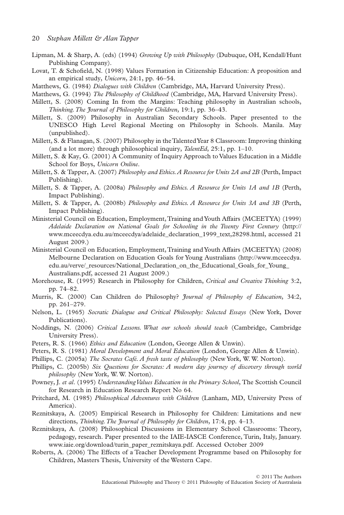- Lipman, M. & Sharp, A. (eds) (1994) *Growing Up with Philosophy* (Dubuque, OH, Kendall/Hunt Publishing Company).
- Lovat, T. & Schofield, N. (1998) Values Formation in Citizenship Education: A proposition and an empirical study, *Unicorn*, 24:1, pp. 46–54.
- Matthews, G. (1984) *Dialogues with Children* (Cambridge, MA, Harvard University Press).
- Matthews, G. (1994) *The Philosophy of Childhood* (Cambridge, MA, Harvard University Press).
- Millett, S. (2008) Coming In from the Margins: Teaching philosophy in Australian schools, *Thinking.The Journal of Philosophy for Children*, 19:1, pp. 36–43.
- Millett, S. (2009) Philosophy in Australian Secondary Schools. Paper presented to the UNESCO High Level Regional Meeting on Philosophy in Schools. Manila. May (unpublished).
- Millett, S. & Flanagan, S. (2007) Philosophy in theTalentedYear 8 Classroom: Improving thinking (and a lot more) through philosophical inquiry, *TalentEd*, 25:1, pp. 1–10.
- Millett, S. & Kay, G. (2001) A Community of Inquiry Approach to Values Education in a Middle School for Boys, *Unicorn Online*.
- Millett, S. & Tapper, A. (2007) *Philosophy and Ethics.A Resource for Units 2A and 2B* (Perth, Impact Publishing).
- Millett, S. & Tapper, A. (2008a) *Philosophy and Ethics. A Resource for Units 1A and 1B* (Perth, Impact Publishing).
- Millett, S. & Tapper, A. (2008b) *Philosophy and Ethics. A Resource for Units 3A and 3B* (Perth, Impact Publishing).
- Ministerial Council on Education, Employment, Training andYouth Affairs (MCEETYA) (1999) *Adelaide Declaration on National Goals for Schooling in the Twenty First Century* (http:// www.mceecdya.edu.au/mceecdya/adelaide\_declaration\_1999\_text,28298.html, accessed 21 August 2009.)
- Ministerial Council on Education, Employment, Training andYouth Affairs (MCEETYA) (2008) Melbourne Declaration on Education Goals for Young Australians (http://www.mceecdya. edu.au/verve/\_resources/National\_Declaration\_on\_the\_Educational\_Goals\_for\_Young\_ Australians.pdf, accessed 21 August 2009.)
- Morehouse, R. (1995) Research in Philosophy for Children, *Critical and Creative Thinking* 3:2, pp. 74–82.
- Murris, K. (2000) Can Children do Philosophy? *Journal of Philosophy of Education*, 34:2, pp. 261–279.
- Nelson, L. (1965) *Socratic Dialogue and Critical Philosophy: Selected Essays* (New York, Dover Publications).
- Noddings, N. (2006) *Critical Lessons. What our schools should teach* (Cambridge, Cambridge University Press).
- Peters, R. S. (1966) *Ethics and Education* (London, George Allen & Unwin).
- Peters, R. S. (1981) *Moral Development and Moral Education* (London, George Allen & Unwin).
- Phillips, C. (2005a) *The Socrates Café. A fresh taste of philosophy* (New York, W. W. Norton).
- Phillips, C. (2005b) *Six Questions for Socrates: A modern day journey of discovery through world philosophy* (New York, W. W. Norton).
- Powney, J. et al. (1995) *Understanding Values Education in the Primary School*, The Scottish Council for Research in Education Research Report No 64.
- Pritchard, M. (1985) *Philosophical Adventures with Children* (Lanham, MD, University Press of America).
- Reznitskaya, A. (2005) Empirical Research in Philosophy for Children: Limitations and new directions, *Thinking.The Journal of Philosophy for Children*, 17:4, pp. 4–13.
- Reznitskaya, A. (2008) Philosophical Discussions in Elementary School Classrooms: Theory, pedagogy, research. Paper presented to the IAIE-IASCE Conference, Turin, Italy, January. www.iaie.org/download/turin\_paper\_reznitskaya.pdf. Accessed October 2009
- Roberts, A. (2006) The Effects of a Teacher Development Programme based on Philosophy for Children, Masters Thesis, University of the Western Cape.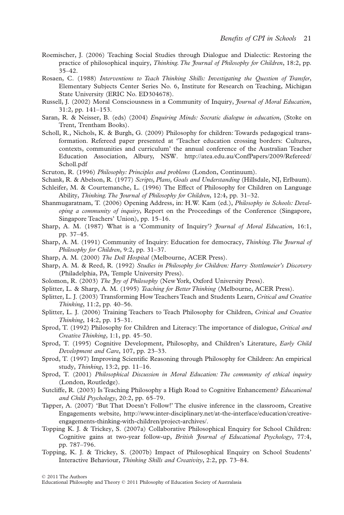- Roemischer, J. (2006) Teaching Social Studies through Dialogue and Dialectic: Restoring the practice of philosophical inquiry, *Thinking.The Journal of Philosophy for Children*, 18:2, pp. 35–42.
- Rosaen, C. (1988) *Interventions to Teach Thinking Skills: Investigating the Question of Transfer*, Elementary Subjects Center Series No. 6, Institute for Research on Teaching, Michigan State University (ERIC No. ED304678).
- Russell, J. (2002) Moral Consciousness in a Community of Inquiry, *Journal of Moral Education*, 31:2, pp. 141–153.
- Saran, R. & Neisser, B. (eds) (2004) *Enquiring Minds: Socratic dialogue in education*, (Stoke on Trent, Trentham Books).
- Scholl, R., Nichols, K. & Burgh, G. (2009) Philosophy for children: Towards pedagogical transformation. Refereed paper presented at 'Teacher education crossing borders: Cultures, contexts, communities and curriculum' the annual conference of the Australian Teacher Education Association, Albury, NSW. http://atea.edu.au/ConfPapers/2009/Refereed/ Scholl.pdf
- Scruton, R. (1996) *Philosophy: Principles and problems* (London, Continuum).
- Schank, R. & Abelson, R. (1977) *Scripts, Plans, Goals and Understanding* (Hillsdale, NJ, Erlbaum).
- Schleifer, M. & Courtemanche, L. (1996) The Effect of Philosophy for Children on Language Ability, *Thinking.The Journal of Philosophy for Children*, 12:4, pp. 31–32.
- Shanmugaratnam, T. (2006) Opening Address, in: H.W. Kam (ed.), *Philosophy in Schools: Developing a community of inquiry*, Report on the Proceedings of the Conference (Singapore, Singapore Teachers' Union), pp. 15–16.
- Sharp, A. M. (1987) What is a 'Community of Inquiry'? *Journal of Moral Education*, 16:1, pp. 37–45.
- Sharp, A. M. (1991) Community of Inquiry: Education for democracy, *Thinking. The Journal of Philosophy for Children*, 9:2, pp. 31–37.
- Sharp, A. M. (2000) *The Doll Hospital* (Melbourne, ACER Press).
- Sharp, A. M. & Reed, R. (1992) *Studies in Philosophy for Children: Harry Stottlemeier's Discovery* (Philadelphia, PA, Temple University Press).
- Solomon, R. (2003) *The Joy of Philosophy* (New York, Oxford University Press).
- Splitter, L. & Sharp, A. M. (1995) *Teaching for Better Thinking* (Melbourne, ACER Press).
- Splitter, L. J. (2003) Transforming How Teachers Teach and Students Learn, *Critical and Creative Thinking*, 11:2, pp. 40–56.
- Splitter, L. J. (2006) Training Teachers to Teach Philosophy for Children, *Critical and Creative Thinking*, 14:2, pp. 15–31.
- Sprod, T. (1992) Philosophy for Children and Literacy: The importance of dialogue, *Critical and Creative Thinking*, 1:1, pp. 45–50.
- Sprod, T. (1995) Cognitive Development, Philosophy, and Children's Literature, *Early Child Development and Care*, 107, pp. 23–33.
- Sprod, T. (1997) Improving Scientific Reasoning through Philosophy for Children: An empirical study, *Thinking*, 13:2, pp. 11–16.
- Sprod, T. (2001) *Philosophical Discussion in Moral Education: The community of ethical inquiry* (London, Routledge).
- Sutcliffe, R. (2003) Is Teaching Philosophy a High Road to Cognitive Enhancement? *Educational and Child Psychology*, 20:2, pp. 65–79.
- Tapper, A. (2007) 'But That Doesn't Follow!' The elusive inference in the classroom, Creative Engagements website, http://www.inter-disciplinary.net/at-the-interface/education/creativeengagements-thinking-with-children/project-archives/.
- Topping K. J. & Trickey, S. (2007a) Collaborative Philosophical Enquiry for School Children: Cognitive gains at two-year follow-up, *British Journal of Educational Psychology*, 77:4, pp. 787–796.
- Topping, K. J. & Trickey, S. (2007b) Impact of Philosophical Enquiry on School Students' Interactive Behaviour, *Thinking Skills and Creativity*, 2:2, pp. 73–84.

© 2011 The Authors